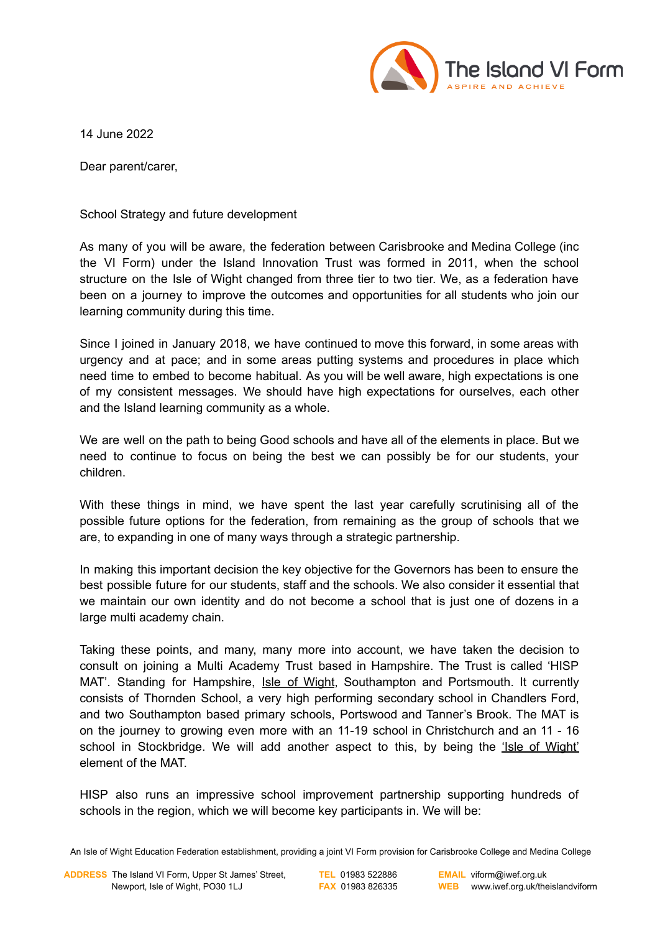

14 June 2022

Dear parent/carer,

School Strategy and future development

As many of you will be aware, the federation between Carisbrooke and Medina College (inc the VI Form) under the Island Innovation Trust was formed in 2011, when the school structure on the Isle of Wight changed from three tier to two tier. We, as a federation have been on a journey to improve the outcomes and opportunities for all students who join our learning community during this time.

Since I joined in January 2018, we have continued to move this forward, in some areas with urgency and at pace; and in some areas putting systems and procedures in place which need time to embed to become habitual. As you will be well aware, high expectations is one of my consistent messages. We should have high expectations for ourselves, each other and the Island learning community as a whole.

We are well on the path to being Good schools and have all of the elements in place. But we need to continue to focus on being the best we can possibly be for our students, your children.

With these things in mind, we have spent the last year carefully scrutinising all of the possible future options for the federation, from remaining as the group of schools that we are, to expanding in one of many ways through a strategic partnership.

In making this important decision the key objective for the Governors has been to ensure the best possible future for our students, staff and the schools. We also consider it essential that we maintain our own identity and do not become a school that is just one of dozens in a large multi academy chain.

Taking these points, and many, many more into account, we have taken the decision to consult on joining a Multi Academy Trust based in Hampshire. The Trust is called 'HISP MAT'. Standing for Hampshire, Isle of Wight, Southampton and Portsmouth. It currently consists of Thornden School, a very high performing secondary school in Chandlers Ford, and two Southampton based primary schools, Portswood and Tanner's Brook. The MAT is on the journey to growing even more with an 11-19 school in Christchurch and an 11 - 16 school in Stockbridge. We will add another aspect to this, by being the 'Isle of Wight' element of the MAT.

HISP also runs an impressive school improvement partnership supporting hundreds of schools in the region, which we will become key participants in. We will be:

An Isle of Wight Education Federation establishment, providing a joint VI Form provision for Carisbrooke College and Medina College